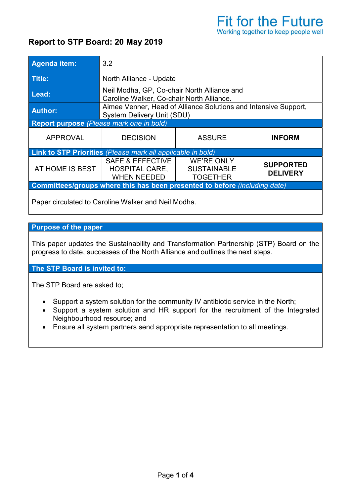## Report to STP Board: 20 May 2019

| <b>Agenda item:</b>                                                        | 3.2                                                                                           |                                                            |                                     |
|----------------------------------------------------------------------------|-----------------------------------------------------------------------------------------------|------------------------------------------------------------|-------------------------------------|
| Title:                                                                     | North Alliance - Update                                                                       |                                                            |                                     |
| Lead:                                                                      | Neil Modha, GP, Co-chair North Alliance and<br>Caroline Walker, Co-chair North Alliance.      |                                                            |                                     |
| <b>Author:</b>                                                             | Aimee Venner, Head of Alliance Solutions and Intensive Support,<br>System Delivery Unit (SDU) |                                                            |                                     |
| Report purpose (Please mark one in bold)                                   |                                                                                               |                                                            |                                     |
| <b>APPROVAL</b>                                                            | <b>DECISION</b>                                                                               | <b>ASSURE</b>                                              | <b>INFORM</b>                       |
| <b>Link to STP Priorities</b> (Please mark all applicable in bold)         |                                                                                               |                                                            |                                     |
| AT HOME IS BEST                                                            | <b>SAFE &amp; EFFECTIVE</b><br><b>HOSPITAL CARE,</b><br><b>WHEN NEEDED</b>                    | <b>WE'RE ONLY</b><br><b>SUSTAINABLE</b><br><b>TOGETHER</b> | <b>SUPPORTED</b><br><b>DELIVERY</b> |
| Committees/groups where this has been presented to before (including date) |                                                                                               |                                                            |                                     |
|                                                                            |                                                                                               |                                                            |                                     |

Paper circulated to Caroline Walker and Neil Modha.

## Purpose of the paper

This paper updates the Sustainability and Transformation Partnership (STP) Board on the progress to date, successes of the North Alliance and outlines the next steps.  

## The STP Board is invited to:

The STP Board are asked to;

- Support a system solution for the community IV antibiotic service in the North;
- Support a system solution and HR support for the recruitment of the Integrated Neighbourhood resource; and
- Ensure all system partners send appropriate representation to all meetings.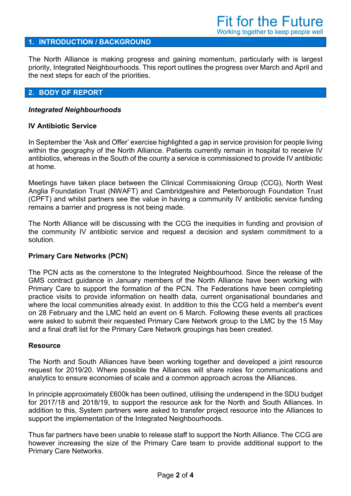#### 1. INTRODUCTION / BACKGROUND

The North Alliance is making progress and gaining momentum, particularly with is largest priority, Integrated Neighbourhoods. This report outlines the progress over March and April and the next steps for each of the priorities.

#### 2. BODY OF REPORT

#### Integrated Neighbourhoods

#### IV Antibiotic Service

In September the 'Ask and Offer' exercise highlighted a gap in service provision for people living within the geography of the North Alliance. Patients currently remain in hospital to receive IV antibiotics, whereas in the South of the county a service is commissioned to provide IV antibiotic at home.

Meetings have taken place between the Clinical Commissioning Group (CCG), North West Anglia Foundation Trust (NWAFT) and Cambridgeshire and Peterborough Foundation Trust (CPFT) and whilst partners see the value in having a community IV antibiotic service funding remains a barrier and progress is not being made.

The North Alliance will be discussing with the CCG the inequities in funding and provision of the community IV antibiotic service and request a decision and system commitment to a solution.

#### Primary Care Networks (PCN)

The PCN acts as the cornerstone to the Integrated Neighbourhood. Since the release of the GMS contract guidance in January members of the North Alliance have been working with Primary Care to support the formation of the PCN. The Federations have been completing practice visits to provide information on health data, current organisational boundaries and where the local communities already exist. In addition to this the CCG held a member's event on 28 February and the LMC held an event on 6 March. Following these events all practices were asked to submit their requested Primary Care Network group to the LMC by the 15 May and a final draft list for the Primary Care Network groupings has been created.

#### Resource

The North and South Alliances have been working together and developed a joint resource request for 2019/20. Where possible the Alliances will share roles for communications and analytics to ensure economies of scale and a common approach across the Alliances.

In principle approximately £600k has been outlined, utilising the underspend in the SDU budget for 2017/18 and 2018/19, to support the resource ask for the North and South Alliances. In addition to this, System partners were asked to transfer project resource into the Alliances to support the implementation of the Integrated Neighbourhoods.

Thus far partners have been unable to release staff to support the North Alliance. The CCG are however increasing the size of the Primary Care team to provide additional support to the Primary Care Networks.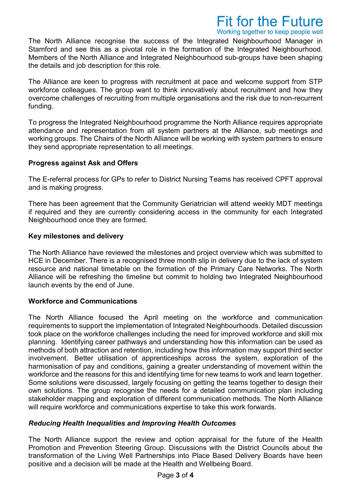# **Fit for the Future**

Working together to keep people well

The North Alliance recognise the success of the Integrated Neighbourhood Manager in Stamford and see this as a pivotal role in the formation of the Integrated Neighbourhood. Members of the North Alliance and Integrated Neighbourhood sub-groups have been shaping the details and job description for this role.

The Alliance are keen to progress with recruitment at pace and welcome support from STP workforce colleagues. The group want to think innovatively about recruitment and how they overcome challenges of recruiting from multiple organisations and the risk due to non-recurrent funding.

To progress the Integrated Neighbourhood programme the North Alliance requires appropriate attendance and representation from all system partners at the Alliance, sub meetings and working groups. The Chairs of the North Alliance will be working with system partners to ensure they send appropriate representation to all meetings.

## Progress against Ask and Offers

The E-referral process for GPs to refer to District Nursing Teams has received CPFT approval and is making progress.

There has been agreement that the Community Geriatrician will attend weekly MDT meetings if required and they are currently considering access in the community for each Integrated Neighbourhood once they are formed.

## Key milestones and delivery

The North Alliance have reviewed the milestones and project overview which was submitted to HCE in December. There is a recognised three month slip in delivery due to the lack of system resource and national timetable on the formation of the Primary Care Networks. The North Alliance will be refreshing the timeline but commit to holding two Integrated Neighbourhood launch events by the end of June.

## Workforce and Communications

The North Alliance focused the April meeting on the workforce and communication requirements to support the implementation of Integrated Neighbourhoods. Detailed discussion took place on the workforce challenges including the need for improved workforce and skill mix planning. Identifying career pathways and understanding how this information can be used as methods of both attraction and retention, including how this information may support third sector involvement. Better utilisation of apprenticeships across the system, exploration of the harmonisation of pay and conditions, gaining a greater understanding of movement within the workforce and the reasons for this and identifying time for new teams to work and learn together. Some solutions were discussed, largely focusing on getting the teams together to design their own solutions. The group recognise the needs for a detailed communication plan including stakeholder mapping and exploration of different communication methods. The North Alliance will require workforce and communications expertise to take this work forwards.

## Reducing Health Inequalities and Improving Health Outcomes

The North Alliance support the review and option appraisal for the future of the Health Promotion and Prevention Steering Group. Discussions with the District Councils about the transformation of the Living Well Partnerships into Place Based Delivery Boards have been positive and a decision will be made at the Health and Wellbeing Board.